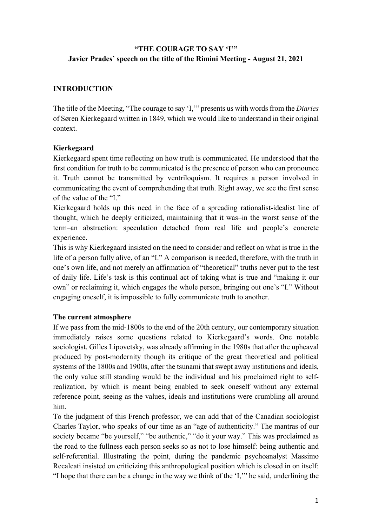# **"THE COURAGE TO SAY 'I'" Javier Prades' speech on the title of the Rimini Meeting - August 21, 2021**

## **INTRODUCTION**

The title of the Meeting, "The courage to say 'I,'" presents us with words from the *Diaries* of Søren Kierkegaard written in 1849, which we would like to understand in their original context.

## **Kierkegaard**

Kierkegaard spent time reflecting on how truth is communicated. He understood that the first condition for truth to be communicated is the presence of person who can pronounce it. Truth cannot be transmitted by ventriloquism. It requires a person involved in communicating the event of comprehending that truth. Right away, we see the first sense of the value of the "I."

Kierkegaard holds up this need in the face of a spreading rationalist-idealist line of thought, which he deeply criticized, maintaining that it was–in the worst sense of the term–an abstraction: speculation detached from real life and people's concrete experience.

This is why Kierkegaard insisted on the need to consider and reflect on what is true in the life of a person fully alive, of an "I." A comparison is needed, therefore, with the truth in one's own life, and not merely an affirmation of "theoretical" truths never put to the test of daily life. Life's task is this continual act of taking what is true and "making it our own" or reclaiming it, which engages the whole person, bringing out one's "I." Without engaging oneself, it is impossible to fully communicate truth to another.

## **The current atmosphere**

If we pass from the mid-1800s to the end of the 20th century, our contemporary situation immediately raises some questions related to Kierkegaard's words. One notable sociologist, Gilles Lipovetsky, was already affirming in the 1980s that after the upheaval produced by post-modernity though its critique of the great theoretical and political systems of the 1800s and 1900s, after the tsunami that swept away institutions and ideals, the only value still standing would be the individual and his proclaimed right to selfrealization, by which is meant being enabled to seek oneself without any external reference point, seeing as the values, ideals and institutions were crumbling all around him.

To the judgment of this French professor, we can add that of the Canadian sociologist Charles Taylor, who speaks of our time as an "age of authenticity." The mantras of our society became "be yourself," "be authentic," "do it your way." This was proclaimed as the road to the fullness each person seeks so as not to lose himself: being authentic and self-referential. Illustrating the point, during the pandemic psychoanalyst Massimo Recalcati insisted on criticizing this anthropological position which is closed in on itself: "I hope that there can be a change in the way we think of the 'I,'" he said, underlining the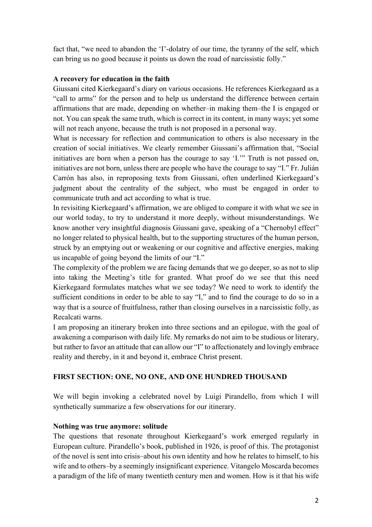fact that, "we need to abandon the 'I'-dolatry of our time, the tyranny of the self, which can bring us no good because it points us down the road of narcissistic folly."

## **A recovery for education in the faith**

Giussani cited Kierkegaard's diary on various occasions. He references Kierkegaard as a "call to arms" for the person and to help us understand the difference between certain affirmations that are made, depending on whether–in making them–the I is engaged or not. You can speak the same truth, which is correct in its content, in many ways; yet some will not reach anyone, because the truth is not proposed in a personal way.

What is necessary for reflection and communication to others is also necessary in the creation of social initiatives. We clearly remember Giussani's affirmation that, "Social initiatives are born when a person has the courage to say 'I.'" Truth is not passed on, initiatives are not born, unless there are people who have the courage to say "I." Fr. Julián Carrón has also, in reproposing texts from Giussani, often underlined Kierkegaard's judgment about the centrality of the subject, who must be engaged in order to communicate truth and act according to what is true.

In revisiting Kierkegaard's affirmation, we are obliged to compare it with what we see in our world today, to try to understand it more deeply, without misunderstandings. We know another very insightful diagnosis Giussani gave, speaking of a "Chernobyl effect" no longer related to physical health, but to the supporting structures of the human person, struck by an emptying out or weakening or our cognitive and affective energies, making us incapable of going beyond the limits of our "I."

The complexity of the problem we are facing demands that we go deeper, so as not to slip into taking the Meeting's title for granted. What proof do we see that this need Kierkegaard formulates matches what we see today? We need to work to identify the sufficient conditions in order to be able to say "I," and to find the courage to do so in a way that is a source of fruitfulness, rather than closing ourselves in a narcissistic folly, as Recalcati warns.

I am proposing an itinerary broken into three sections and an epilogue, with the goal of awakening a comparison with daily life. My remarks do not aim to be studious or literary, but rather to favor an attitude that can allow our "I" to affectionately and lovingly embrace reality and thereby, in it and beyond it, embrace Christ present.

## **FIRST SECTION: ONE, NO ONE, AND ONE HUNDRED THOUSAND**

We will begin invoking a celebrated novel by Luigi Pirandello, from which I will synthetically summarize a few observations for our itinerary.

## **Nothing was true anymore: solitude**

The questions that resonate throughout Kierkegaard's work emerged regularly in European culture. Pirandello's book, published in 1926, is proof of this. The protagonist of the novel is sent into crisis–about his own identity and how he relates to himself, to his wife and to others–by a seemingly insignificant experience. Vitangelo Moscarda becomes a paradigm of the life of many twentieth century men and women. How is it that his wife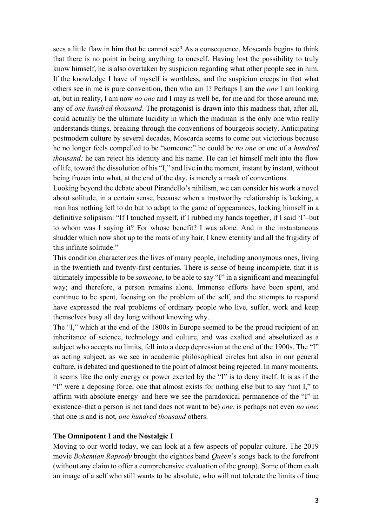sees a little flaw in him that he cannot see? As a consequence, Moscarda begins to think that there is no point in being anything to oneself. Having lost the possibility to truly know himself, he is also overtaken by suspicion regarding what other people see in him. If the knowledge I have of myself is worthless, and the suspicion creeps in that what others see in me is pure convention, then who am I? Perhaps I am the *one* I am looking at, but in reality, I am now *no one* and I may as well be, for me and for those around me, any of *one hundred thousand*. The protagonist is drawn into this madness that, after all, could actually be the ultimate lucidity in which the madman is the only one who really understands things, breaking through the conventions of bourgeois society. Anticipating postmodern culture by several decades, Moscarda seems to come out victorious because he no longer feels compelled to be "someone:" he could be *no one* or one of a *hundred thousand;* he can reject his identity and his name. He can let himself melt into the flow of life, toward the dissolution of his "I," and live in the moment, instant by instant, without being frozen into what, at the end of the day, is merely a mask of conventions.

Looking beyond the debate about Pirandello's nihilism, we can consider his work a novel about solitude, in a certain sense, because when a trustworthy relationship is lacking, a man has nothing left to do but to adapt to the game of appearances, locking himself in a definitive solipsism: "If I touched myself, if I rubbed my hands together, if I said 'I'–but to whom was I saying it? For whose benefit? I was alone. And in the instantaneous shudder which now shot up to the roots of my hair, I knew eternity and all the frigidity of this infinite solitude."

This condition characterizes the lives of many people, including anonymous ones, living in the twentieth and twenty-first centuries. There is sense of being incomplete, that it is ultimately impossible to be *someone*, to be able to say "I" in a significant and meaningful way; and therefore, a person remains alone. Immense efforts have been spent, and continue to be spent, focusing on the problem of the self, and the attempts to respond have expressed the real problems of ordinary people who live, suffer, work and keep themselves busy all day long without knowing why.

The "I," which at the end of the 1800s in Europe seemed to be the proud recipient of an inheritance of science, technology and culture, and was exalted and absolutized as a subject who accepts no limits, fell into a deep depression at the end of the 1900s. The "I" as acting subject, as we see in academic philosophical circles but also in our general culture, is debated and questioned to the point of almost being rejected. In many moments, it seems like the only energy or power exerted by the "I" is to deny itself. It is as if the "I" were a deposing force, one that almost exists for nothing else but to say "not I," to affirm with absolute energy–and here we see the paradoxical permanence of the "I" in existence–that a person is not (and does not want to be) *one,* is perhaps not even *no one*; that one is and is not*, one hundred thousand* others.

### **The Omnipotent I and the Nostalgic I**

Moving to our world today, we can look at a few aspects of popular culture. The 2019 movie *Bohemian Rapsody* brought the eighties band *Queen*'s songs back to the forefront (without any claim to offer a comprehensive evaluation of the group). Some of them exalt an image of a self who still wants to be absolute, who will not tolerate the limits of time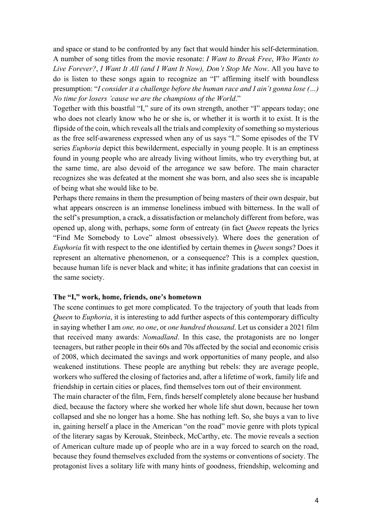and space or stand to be confronted by any fact that would hinder his self-determination. A number of song titles from the movie resonate: *I Want to Break Free*, *Who Wants to Live Forever?*, *I Want It All (and I Want It Now), Don't Stop Me Now*. All you have to do is listen to these songs again to recognize an "I" affirming itself with boundless presumption: "*I consider it a challenge before the human race and I ain't gonna lose (…) No time for losers 'cause we are the champions of the World*."

Together with this boastful "I," sure of its own strength, another "I" appears today; one who does not clearly know who he or she is, or whether it is worth it to exist. It is the flipside of the coin, which reveals all the trials and complexity of something so mysterious as the free self-awareness expressed when any of us says "I." Some episodes of the TV series *Euphoria* depict this bewilderment, especially in young people. It is an emptiness found in young people who are already living without limits, who try everything but, at the same time, are also devoid of the arrogance we saw before. The main character recognizes she was defeated at the moment she was born, and also sees she is incapable of being what she would like to be.

Perhaps there remains in them the presumption of being masters of their own despair, but what appears onscreen is an immense loneliness imbued with bitterness. In the wall of the self's presumption, a crack, a dissatisfaction or melancholy different from before, was opened up, along with, perhaps, some form of entreaty (in fact *Queen* repeats the lyrics "Find Me Somebody to Love" almost obsessively). Where does the generation of *Euphoria* fit with respect to the one identified by certain themes in *Queen* songs? Does it represent an alternative phenomenon, or a consequence? This is a complex question, because human life is never black and white; it has infinite gradations that can coexist in the same society.

#### **The "I," work, home, friends, one's hometown**

The scene continues to get more complicated. To the trajectory of youth that leads from *Queen* to *Euphoria*, it is interesting to add further aspects of this contemporary difficulty in saying whether I am *one, no one*, or *one hundred thousand*. Let us consider a 2021 film that received many awards: *Nomadland*. In this case, the protagonists are no longer teenagers, but rather people in their 60s and 70s affected by the social and economic crisis of 2008, which decimated the savings and work opportunities of many people, and also weakened institutions. These people are anything but rebels: they are average people, workers who suffered the closing of factories and, after a lifetime of work, family life and friendship in certain cities or places, find themselves torn out of their environment.

The main character of the film, Fern, finds herself completely alone because her husband died, because the factory where she worked her whole life shut down, because her town collapsed and she no longer has a home. She has nothing left. So, she buys a van to live in, gaining herself a place in the American "on the road" movie genre with plots typical of the literary sagas by Kerouak, Steinbeck, McCarthy, etc. The movie reveals a section of American culture made up of people who are in a way forced to search on the road, because they found themselves excluded from the systems or conventions of society. The protagonist lives a solitary life with many hints of goodness, friendship, welcoming and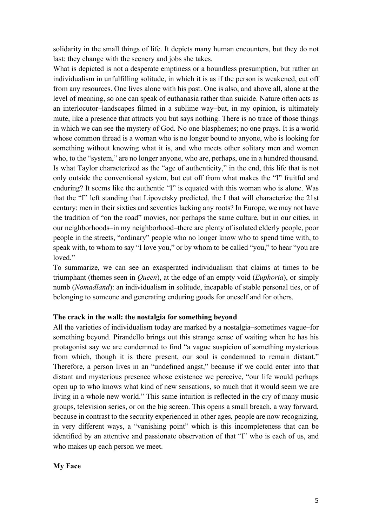solidarity in the small things of life. It depicts many human encounters, but they do not last: they change with the scenery and jobs she takes.

What is depicted is not a desperate emptiness or a boundless presumption, but rather an individualism in unfulfilling solitude, in which it is as if the person is weakened, cut off from any resources. One lives alone with his past. One is also, and above all, alone at the level of meaning, so one can speak of euthanasia rather than suicide. Nature often acts as an interlocutor–landscapes filmed in a sublime way–but, in my opinion, is ultimately mute, like a presence that attracts you but says nothing. There is no trace of those things in which we can see the mystery of God. No one blasphemes; no one prays. It is a world whose common thread is a woman who is no longer bound to anyone, who is looking for something without knowing what it is, and who meets other solitary men and women who, to the "system," are no longer anyone, who are, perhaps, one in a hundred thousand. Is what Taylor characterized as the "age of authenticity," in the end, this life that is not only outside the conventional system, but cut off from what makes the "I" fruitful and enduring? It seems like the authentic "I" is equated with this woman who is alone. Was that the "I" left standing that Lipovetsky predicted, the I that will characterize the 21st century: men in their sixties and seventies lacking any roots? In Europe, we may not have the tradition of "on the road" movies, nor perhaps the same culture, but in our cities, in our neighborhoods–in my neighborhood–there are plenty of isolated elderly people, poor people in the streets, "ordinary" people who no longer know who to spend time with, to speak with, to whom to say "I love you," or by whom to be called "you," to hear "you are loved."

To summarize, we can see an exasperated individualism that claims at times to be triumphant (themes seen in *Queen*), at the edge of an empty void (*Euphoria*), or simply numb (*Nomadland*): an individualism in solitude, incapable of stable personal ties, or of belonging to someone and generating enduring goods for oneself and for others.

## **The crack in the wall: the nostalgia for something beyond**

All the varieties of individualism today are marked by a nostalgia–sometimes vague–for something beyond. Pirandello brings out this strange sense of waiting when he has his protagonist say we are condemned to find "a vague suspicion of something mysterious from which, though it is there present, our soul is condemned to remain distant." Therefore, a person lives in an "undefined angst," because if we could enter into that distant and mysterious presence whose existence we perceive, "our life would perhaps open up to who knows what kind of new sensations, so much that it would seem we are living in a whole new world." This same intuition is reflected in the cry of many music groups, television series, or on the big screen. This opens a small breach, a way forward, because in contrast to the security experienced in other ages, people are now recognizing, in very different ways, a "vanishing point" which is this incompleteness that can be identified by an attentive and passionate observation of that "I" who is each of us, and who makes up each person we meet.

### **My Face**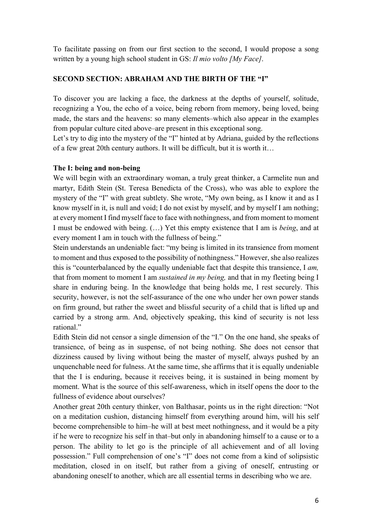To facilitate passing on from our first section to the second, I would propose a song written by a young high school student in GS: *Il mio volto [My Face]*.

## **SECOND SECTION: ABRAHAM AND THE BIRTH OF THE "I"**

To discover you are lacking a face, the darkness at the depths of yourself, solitude, recognizing a You, the echo of a voice, being reborn from memory, being loved, being made, the stars and the heavens: so many elements–which also appear in the examples from popular culture cited above–are present in this exceptional song.

Let's try to dig into the mystery of the "I" hinted at by Adriana, guided by the reflections of a few great 20th century authors. It will be difficult, but it is worth it…

## **The I: being and non-being**

We will begin with an extraordinary woman, a truly great thinker, a Carmelite nun and martyr, Edith Stein (St. Teresa Benedicta of the Cross), who was able to explore the mystery of the "I" with great subtlety. She wrote, "My own being, as I know it and as I know myself in it, is null and void; I do not exist by myself, and by myself I am nothing; at every moment I find myself face to face with nothingness, and from moment to moment I must be endowed with being. (…) Yet this empty existence that I am is *being*, and at every moment I am in touch with the fullness of being."

Stein understands an undeniable fact: "my being is limited in its transience from moment to moment and thus exposed to the possibility of nothingness." However, she also realizes this is "counterbalanced by the equally undeniable fact that despite this transience, I *am,* that from moment to moment I am *sustained in my being,* and that in my fleeting being I share in enduring being. In the knowledge that being holds me, I rest securely. This security, however, is not the self-assurance of the one who under her own power stands on firm ground, but rather the sweet and blissful security of a child that is lifted up and carried by a strong arm. And, objectively speaking, this kind of security is not less rational."

Edith Stein did not censor a single dimension of the "I." On the one hand, she speaks of transience, of being as in suspense, of not being nothing. She does not censor that dizziness caused by living without being the master of myself, always pushed by an unquenchable need for fulness. At the same time, she affirms that it is equally undeniable that the I is enduring, because it receives being, it is sustained in being moment by moment. What is the source of this self-awareness, which in itself opens the door to the fullness of evidence about ourselves?

Another great 20th century thinker, von Balthasar, points us in the right direction: "Not on a meditation cushion, distancing himself from everything around him, will his self become comprehensible to him–he will at best meet nothingness, and it would be a pity if he were to recognize his self in that–but only in abandoning himself to a cause or to a person. The ability to let go is the principle of all achievement and of all loving possession." Full comprehension of one's "I" does not come from a kind of solipsistic meditation, closed in on itself, but rather from a giving of oneself, entrusting or abandoning oneself to another, which are all essential terms in describing who we are.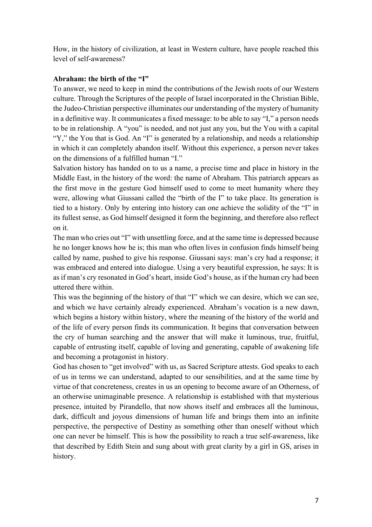How, in the history of civilization, at least in Western culture, have people reached this level of self-awareness?

## **Abraham: the birth of the "I"**

To answer, we need to keep in mind the contributions of the Jewish roots of our Western culture. Through the Scriptures of the people of Israel incorporated in the Christian Bible, the Judeo-Christian perspective illuminates our understanding of the mystery of humanity in a definitive way. It communicates a fixed message: to be able to say "I," a person needs to be in relationship. A "you" is needed, and not just any you, but the You with a capital "Y," the You that is God. An "I" is generated by a relationship, and needs a relationship in which it can completely abandon itself. Without this experience, a person never takes on the dimensions of a fulfilled human "I."

Salvation history has handed on to us a name, a precise time and place in history in the Middle East, in the history of the word: the name of Abraham. This patriarch appears as the first move in the gesture God himself used to come to meet humanity where they were, allowing what Giussani called the "birth of the I" to take place. Its generation is tied to a history. Only by entering into history can one achieve the solidity of the "I" in its fullest sense, as God himself designed it form the beginning, and therefore also reflect on it.

The man who cries out "I" with unsettling force, and at the same time is depressed because he no longer knows how he is; this man who often lives in confusion finds himself being called by name, pushed to give his response. Giussani says: man's cry had a response; it was embraced and entered into dialogue. Using a very beautiful expression, he says: It is as if man's cry resonated in God's heart, inside God's house, as if the human cry had been uttered there within.

This was the beginning of the history of that "I" which we can desire, which we can see, and which we have certainly already experienced. Abraham's vocation is a new dawn, which begins a history within history, where the meaning of the history of the world and of the life of every person finds its communication. It begins that conversation between the cry of human searching and the answer that will make it luminous, true, fruitful, capable of entrusting itself, capable of loving and generating, capable of awakening life and becoming a protagonist in history.

God has chosen to "get involved" with us, as Sacred Scripture attests. God speaks to each of us in terms we can understand, adapted to our sensibilities, and at the same time by virtue of that concreteness, creates in us an opening to become aware of an Otherness, of an otherwise unimaginable presence. A relationship is established with that mysterious presence, intuited by Pirandello, that now shows itself and embraces all the luminous, dark, difficult and joyous dimensions of human life and brings them into an infinite perspective, the perspective of Destiny as something other than oneself without which one can never be himself. This is how the possibility to reach a true self-awareness, like that described by Edith Stein and sung about with great clarity by a girl in GS, arises in history.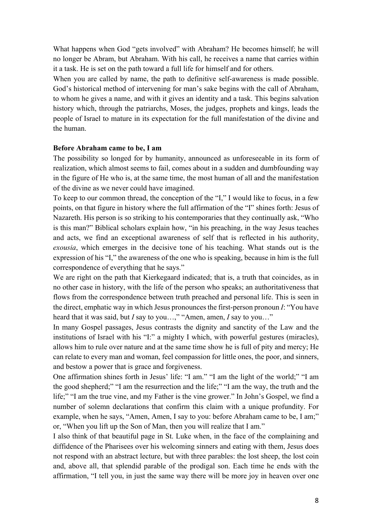What happens when God "gets involved" with Abraham? He becomes himself; he will no longer be Abram, but Abraham. With his call, he receives a name that carries within it a task. He is set on the path toward a full life for himself and for others.

When you are called by name, the path to definitive self-awareness is made possible. God's historical method of intervening for man's sake begins with the call of Abraham, to whom he gives a name, and with it gives an identity and a task. This begins salvation history which, through the patriarchs, Moses, the judges, prophets and kings, leads the people of Israel to mature in its expectation for the full manifestation of the divine and the human.

#### **Before Abraham came to be, I am**

The possibility so longed for by humanity, announced as unforeseeable in its form of realization, which almost seems to fail, comes about in a sudden and dumbfounding way in the figure of He who is, at the same time, the most human of all and the manifestation of the divine as we never could have imagined.

To keep to our common thread, the conception of the "I," I would like to focus, in a few points, on that figure in history where the full affirmation of the "I" shines forth: Jesus of Nazareth. His person is so striking to his contemporaries that they continually ask, "Who is this man?" Biblical scholars explain how, "in his preaching, in the way Jesus teaches and acts, we find an exceptional awareness of self that is reflected in his authority, *exousia*, which emerges in the decisive tone of his teaching. What stands out is the expression of his "I," the awareness of the one who is speaking, because in him is the full correspondence of everything that he says."

We are right on the path that Kierkegaard indicated; that is, a truth that coincides, as in no other case in history, with the life of the person who speaks; an authoritativeness that flows from the correspondence between truth preached and personal life. This is seen in the direct, emphatic way in which Jesus pronounces the first-person pronoun *I*: "You have heard that it was said, but *I* say to you…," "Amen, amen, *I* say to you…"

In many Gospel passages, Jesus contrasts the dignity and sanctity of the Law and the institutions of Israel with his "I:" a mighty I which, with powerful gestures (miracles), allows him to rule over nature and at the same time show he is full of pity and mercy; He can relate to every man and woman, feel compassion for little ones, the poor, and sinners, and bestow a power that is grace and forgiveness.

One affirmation shines forth in Jesus' life: "I am." "I am the light of the world;" "I am the good shepherd;" "I am the resurrection and the life;" "I am the way, the truth and the life;" "I am the true vine, and my Father is the vine grower." In John's Gospel, we find a number of solemn declarations that confirm this claim with a unique profundity. For example, when he says, "Amen, Amen, I say to you: before Abraham came to be, I am;" or, "When you lift up the Son of Man, then you will realize that I am."

I also think of that beautiful page in St. Luke when, in the face of the complaining and diffidence of the Pharisees over his welcoming sinners and eating with them, Jesus does not respond with an abstract lecture, but with three parables: the lost sheep, the lost coin and, above all, that splendid parable of the prodigal son. Each time he ends with the affirmation, "I tell you, in just the same way there will be more joy in heaven over one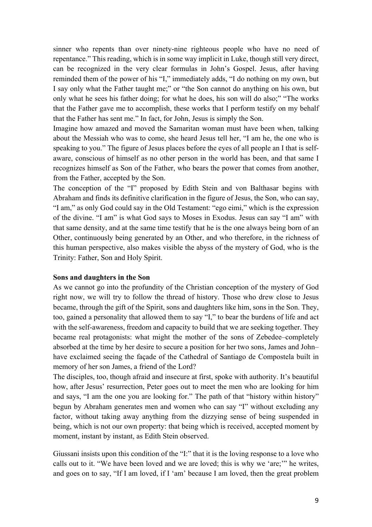sinner who repents than over ninety-nine righteous people who have no need of repentance." This reading, which is in some way implicit in Luke, though still very direct, can be recognized in the very clear formulas in John's Gospel. Jesus, after having reminded them of the power of his "I," immediately adds, "I do nothing on my own, but I say only what the Father taught me;" or "the Son cannot do anything on his own, but only what he sees his father doing; for what he does, his son will do also;" "The works that the Father gave me to accomplish, these works that I perform testify on my behalf that the Father has sent me." In fact, for John, Jesus is simply the Son.

Imagine how amazed and moved the Samaritan woman must have been when, talking about the Messiah who was to come, she heard Jesus tell her, "I am he, the one who is speaking to you." The figure of Jesus places before the eyes of all people an I that is selfaware, conscious of himself as no other person in the world has been, and that same I recognizes himself as Son of the Father, who bears the power that comes from another, from the Father, accepted by the Son.

The conception of the "I" proposed by Edith Stein and von Balthasar begins with Abraham and finds its definitive clarification in the figure of Jesus, the Son, who can say, "I am," as only God could say in the Old Testament: "ego eimi," which is the expression of the divine. "I am" is what God says to Moses in Exodus. Jesus can say "I am" with that same density, and at the same time testify that he is the one always being born of an Other, continuously being generated by an Other, and who therefore, in the richness of this human perspective, also makes visible the abyss of the mystery of God, who is the Trinity: Father, Son and Holy Spirit.

#### **Sons and daughters in the Son**

As we cannot go into the profundity of the Christian conception of the mystery of God right now, we will try to follow the thread of history. Those who drew close to Jesus became, through the gift of the Spirit, sons and daughters like him, sons in the Son. They, too, gained a personality that allowed them to say "I," to bear the burdens of life and act with the self-awareness, freedom and capacity to build that we are seeking together. They became real protagonists: what might the mother of the sons of Zebedee–completely absorbed at the time by her desire to secure a position for her two sons, James and John– have exclaimed seeing the façade of the Cathedral of Santiago de Compostela built in memory of her son James, a friend of the Lord?

The disciples, too, though afraid and insecure at first, spoke with authority. It's beautiful how, after Jesus' resurrection, Peter goes out to meet the men who are looking for him and says, "I am the one you are looking for." The path of that "history within history" begun by Abraham generates men and women who can say "I" without excluding any factor, without taking away anything from the dizzying sense of being suspended in being, which is not our own property: that being which is received, accepted moment by moment, instant by instant, as Edith Stein observed.

Giussani insists upon this condition of the "I:" that it is the loving response to a love who calls out to it. "We have been loved and we are loved; this is why we 'are;'" he writes, and goes on to say, "If I am loved, if I 'am' because I am loved, then the great problem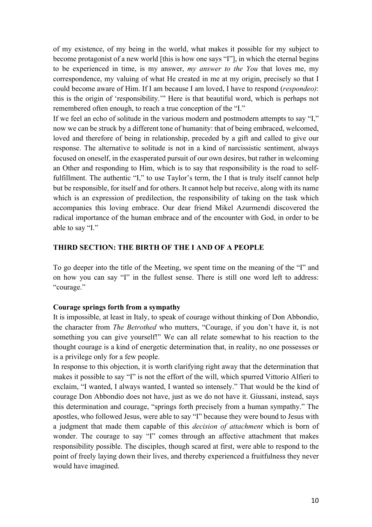of my existence, of my being in the world, what makes it possible for my subject to become protagonist of a new world [this is how one says "I"], in which the eternal begins to be experienced in time, is my answer, *my answer to the You* that loves me, my correspondence, my valuing of what He created in me at my origin, precisely so that I could become aware of Him. If I am because I am loved, I have to respond (*respondeo)*: this is the origin of 'responsibility.'" Here is that beautiful word, which is perhaps not remembered often enough, to reach a true conception of the "I."

If we feel an echo of solitude in the various modern and postmodern attempts to say "I," now we can be struck by a different tone of humanity: that of being embraced, welcomed, loved and therefore of being in relationship, preceded by a gift and called to give our response. The alternative to solitude is not in a kind of narcissistic sentiment, always focused on oneself, in the exasperated pursuit of our own desires, but rather in welcoming an Other and responding to Him, which is to say that responsibility is the road to selffulfillment. The authentic "I," to use Taylor's term, the I that is truly itself cannot help but be responsible, for itself and for others. It cannot help but receive, along with its name which is an expression of predilection, the responsibility of taking on the task which accompanies this loving embrace. Our dear friend Mikel Azurmendi discovered the radical importance of the human embrace and of the encounter with God, in order to be able to say "I."

### **THIRD SECTION: THE BIRTH OF THE I AND OF A PEOPLE**

To go deeper into the title of the Meeting, we spent time on the meaning of the "I" and on how you can say "I" in the fullest sense. There is still one word left to address: "courage."

#### **Courage springs forth from a sympathy**

It is impossible, at least in Italy, to speak of courage without thinking of Don Abbondio, the character from *The Betrothed* who mutters, "Courage, if you don't have it, is not something you can give yourself!" We can all relate somewhat to his reaction to the thought courage is a kind of energetic determination that, in reality, no one possesses or is a privilege only for a few people.

In response to this objection, it is worth clarifying right away that the determination that makes it possible to say "I" is not the effort of the will, which spurred Vittorio Alfieri to exclaim, "I wanted, I always wanted, I wanted so intensely." That would be the kind of courage Don Abbondio does not have, just as we do not have it. Giussani, instead, says this determination and courage, "springs forth precisely from a human sympathy." The apostles, who followed Jesus, were able to say "I" because they were bound to Jesus with a judgment that made them capable of this *decision of attachment* which is born of wonder. The courage to say "I" comes through an affective attachment that makes responsibility possible. The disciples, though scared at first, were able to respond to the point of freely laying down their lives, and thereby experienced a fruitfulness they never would have imagined.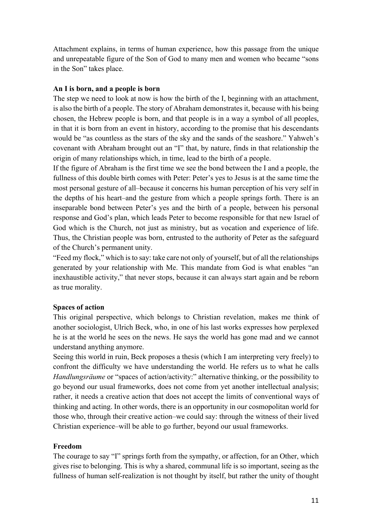Attachment explains, in terms of human experience, how this passage from the unique and unrepeatable figure of the Son of God to many men and women who became "sons in the Son" takes place.

### **An I is born, and a people is born**

The step we need to look at now is how the birth of the I, beginning with an attachment, is also the birth of a people. The story of Abraham demonstrates it, because with his being chosen, the Hebrew people is born, and that people is in a way a symbol of all peoples, in that it is born from an event in history, according to the promise that his descendants would be "as countless as the stars of the sky and the sands of the seashore." Yahweh's covenant with Abraham brought out an "I" that, by nature, finds in that relationship the origin of many relationships which, in time, lead to the birth of a people.

If the figure of Abraham is the first time we see the bond between the I and a people, the fullness of this double birth comes with Peter: Peter's yes to Jesus is at the same time the most personal gesture of all–because it concerns his human perception of his very self in the depths of his heart–and the gesture from which a people springs forth. There is an inseparable bond between Peter's yes and the birth of a people, between his personal response and God's plan, which leads Peter to become responsible for that new Israel of God which is the Church, not just as ministry, but as vocation and experience of life. Thus, the Christian people was born, entrusted to the authority of Peter as the safeguard of the Church's permanent unity.

"Feed my flock," which is to say: take care not only of yourself, but of all the relationships generated by your relationship with Me. This mandate from God is what enables "an inexhaustible activity," that never stops, because it can always start again and be reborn as true morality.

### **Spaces of action**

This original perspective, which belongs to Christian revelation, makes me think of another sociologist, Ulrich Beck, who, in one of his last works expresses how perplexed he is at the world he sees on the news. He says the world has gone mad and we cannot understand anything anymore.

Seeing this world in ruin, Beck proposes a thesis (which I am interpreting very freely) to confront the difficulty we have understanding the world. He refers us to what he calls *Handlungsräume* or "spaces of action/activity:" alternative thinking, or the possibility to go beyond our usual frameworks, does not come from yet another intellectual analysis; rather, it needs a creative action that does not accept the limits of conventional ways of thinking and acting. In other words, there is an opportunity in our cosmopolitan world for those who, through their creative action–we could say: through the witness of their lived Christian experience–will be able to go further, beyond our usual frameworks.

## **Freedom**

The courage to say "I" springs forth from the sympathy, or affection, for an Other, which gives rise to belonging. This is why a shared, communal life is so important, seeing as the fullness of human self-realization is not thought by itself, but rather the unity of thought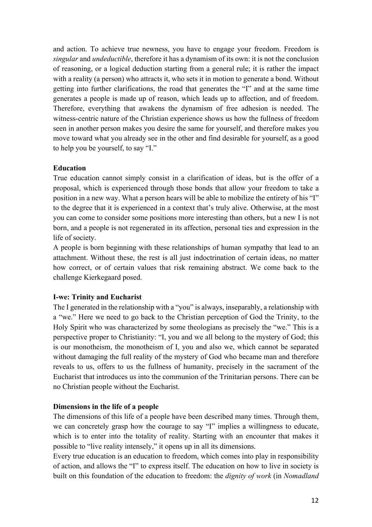and action. To achieve true newness, you have to engage your freedom. Freedom is *singular* and *undeductible*, therefore it has a dynamism of its own: it is not the conclusion of reasoning, or a logical deduction starting from a general rule; it is rather the impact with a reality (a person) who attracts it, who sets it in motion to generate a bond. Without getting into further clarifications, the road that generates the "I" and at the same time generates a people is made up of reason, which leads up to affection, and of freedom. Therefore, everything that awakens the dynamism of free adhesion is needed. The witness-centric nature of the Christian experience shows us how the fullness of freedom seen in another person makes you desire the same for yourself, and therefore makes you move toward what you already see in the other and find desirable for yourself, as a good to help you be yourself, to say "I."

### **Education**

True education cannot simply consist in a clarification of ideas, but is the offer of a proposal, which is experienced through those bonds that allow your freedom to take a position in a new way. What a person hears will be able to mobilize the entirety of his "I" to the degree that it is experienced in a context that's truly alive. Otherwise, at the most you can come to consider some positions more interesting than others, but a new I is not born, and a people is not regenerated in its affection, personal ties and expression in the life of society.

A people is born beginning with these relationships of human sympathy that lead to an attachment. Without these, the rest is all just indoctrination of certain ideas, no matter how correct, or of certain values that risk remaining abstract. We come back to the challenge Kierkegaard posed.

### **I-we: Trinity and Eucharist**

The I generated in the relationship with a "you" is always, inseparably, a relationship with a "we." Here we need to go back to the Christian perception of God the Trinity, to the Holy Spirit who was characterized by some theologians as precisely the "we." This is a perspective proper to Christianity: "I, you and we all belong to the mystery of God; this is our monotheism, the monotheism of I, you and also we, which cannot be separated without damaging the full reality of the mystery of God who became man and therefore reveals to us, offers to us the fullness of humanity, precisely in the sacrament of the Eucharist that introduces us into the communion of the Trinitarian persons. There can be no Christian people without the Eucharist.

### **Dimensions in the life of a people**

The dimensions of this life of a people have been described many times. Through them, we can concretely grasp how the courage to say "I" implies a willingness to educate, which is to enter into the totality of reality. Starting with an encounter that makes it possible to "live reality intensely," it opens up in all its dimensions.

Every true education is an education to freedom, which comes into play in responsibility of action, and allows the "I" to express itself. The education on how to live in society is built on this foundation of the education to freedom: the *dignity of work* (in *Nomadland*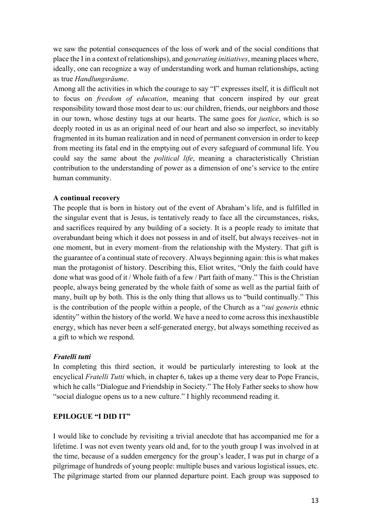we saw the potential consequences of the loss of work and of the social conditions that place the I in a context of relationships), and *generating initiatives*, meaning places where, ideally, one can recognize a way of understanding work and human relationships, acting as true *Handlungsräume*.

Among all the activities in which the courage to say "I" expresses itself, it is difficult not to focus on *freedom of education*, meaning that concern inspired by our great responsibility toward those most dear to us: our children, friends, our neighbors and those in our town, whose destiny tugs at our hearts. The same goes for *justice*, which is so deeply rooted in us as an original need of our heart and also so imperfect, so inevitably fragmented in its human realization and in need of permanent conversion in order to keep from meeting its fatal end in the emptying out of every safeguard of communal life. You could say the same about the *political life*, meaning a characteristically Christian contribution to the understanding of power as a dimension of one's service to the entire human community.

## **A continual recovery**

The people that is born in history out of the event of Abraham's life, and is fulfilled in the singular event that is Jesus, is tentatively ready to face all the circumstances, risks, and sacrifices required by any building of a society. It is a people ready to imitate that overabundant being which it does not possess in and of itself, but always receives–not in one moment, but in every moment–from the relationship with the Mystery. That gift is the guarantee of a continual state of recovery. Always beginning again: this is what makes man the protagonist of history. Describing this, Eliot writes, "Only the faith could have done what was good of it / Whole faith of a few / Part faith of many." This is the Christian people, always being generated by the whole faith of some as well as the partial faith of many, built up by both. This is the only thing that allows us to "build continually." This is the contribution of the people within a people, of the Church as a "*sui generis* ethnic identity" within the history of the world. We have a need to come across this inexhaustible energy, which has never been a self-generated energy, but always something received as a gift to which we respond.

## *Fratelli tutti*

In completing this third section, it would be particularly interesting to look at the encyclical *Fratelli Tutti* which, in chapter 6, takes up a theme very dear to Pope Francis, which he calls "Dialogue and Friendship in Society." The Holy Father seeks to show how "social dialogue opens us to a new culture." I highly recommend reading it.

## **EPILOGUE "I DID IT"**

I would like to conclude by revisiting a trivial anecdote that has accompanied me for a lifetime. I was not even twenty years old and, for to the youth group I was involved in at the time, because of a sudden emergency for the group's leader, I was put in charge of a pilgrimage of hundreds of young people: multiple buses and various logistical issues, etc. The pilgrimage started from our planned departure point. Each group was supposed to